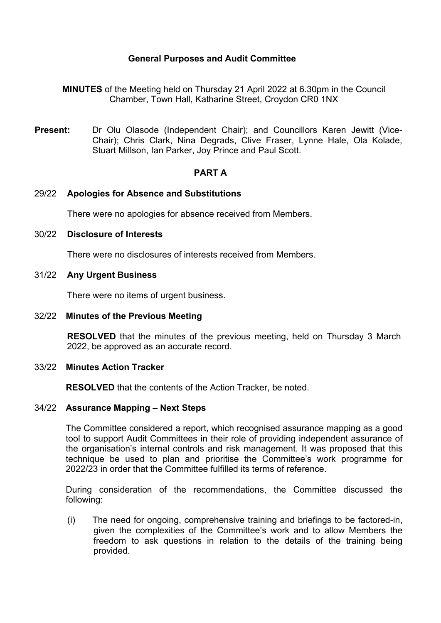# **General Purposes and Audit Committee**

**MINUTES** of the Meeting held on Thursday 21 April 2022 at 6.30pm in the Council Chamber, Town Hall, Katharine Street, Croydon CR0 1NX

**Present:** Dr Olu Olasode (Independent Chair); and Councillors Karen Jewitt (Vice-Chair); Chris Clark, Nina Degrads, Clive Fraser, Lynne Hale, Ola Kolade, Stuart Millson, Ian Parker, Joy Prince and Paul Scott.

# **PART A**

# 29/22 **Apologies for Absence and Substitutions**

There were no apologies for absence received from Members.

#### 30/22 **Disclosure of Interests**

There were no disclosures of interests received from Members.

# 31/22 **Any Urgent Business**

There were no items of urgent business.

### 32/22 **Minutes of the Previous Meeting**

**RESOLVED** that the minutes of the previous meeting, held on Thursday 3 March 2022, be approved as an accurate record.

### 33/22 **Minutes Action Tracker**

**RESOLVED** that the contents of the Action Tracker, be noted.

#### 34/22 **Assurance Mapping – Next Steps**

The Committee considered a report, which recognised assurance mapping as a good tool to support Audit Committees in their role of providing independent assurance of the organisation's internal controls and risk management. It was proposed that this technique be used to plan and prioritise the Committee's work programme for 2022/23 in order that the Committee fulfilled its terms of reference.

During consideration of the recommendations, the Committee discussed the following:

(i) The need for ongoing, comprehensive training and briefings to be factored-in, given the complexities of the Committee's work and to allow Members the freedom to ask questions in relation to the details of the training being provided.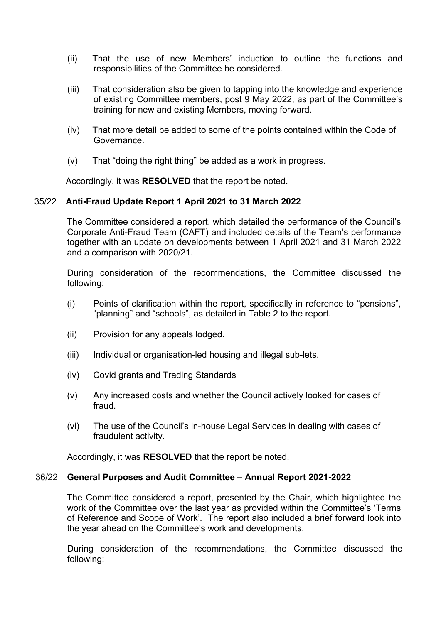- (ii) That the use of new Members' induction to outline the functions and responsibilities of the Committee be considered.
- (iii) That consideration also be given to tapping into the knowledge and experience of existing Committee members, post 9 May 2022, as part of the Committee's training for new and existing Members, moving forward.
- (iv) That more detail be added to some of the points contained within the Code of Governance.
- (v) That "doing the right thing" be added as a work in progress.

Accordingly, it was **RESOLVED** that the report be noted.

# 35/22 **Anti-Fraud Update Report 1 April 2021 to 31 March 2022**

The Committee considered a report, which detailed the performance of the Council's Corporate Anti-Fraud Team (CAFT) and included details of the Team's performance together with an update on developments between 1 April 2021 and 31 March 2022 and a comparison with 2020/21.

During consideration of the recommendations, the Committee discussed the following:

- (i) Points of clarification within the report, specifically in reference to "pensions", "planning" and "schools", as detailed in Table 2 to the report.
- (ii) Provision for any appeals lodged.
- (iii) Individual or organisation-led housing and illegal sub-lets.
- (iv) Covid grants and Trading Standards
- (v) Any increased costs and whether the Council actively looked for cases of fraud.
- (vi) The use of the Council's in-house Legal Services in dealing with cases of fraudulent activity.

Accordingly, it was **RESOLVED** that the report be noted.

### 36/22 **General Purposes and Audit Committee – Annual Report 2021-2022**

The Committee considered a report, presented by the Chair, which highlighted the work of the Committee over the last year as provided within the Committee's 'Terms of Reference and Scope of Work'. The report also included a brief forward look into the year ahead on the Committee's work and developments.

During consideration of the recommendations, the Committee discussed the following: